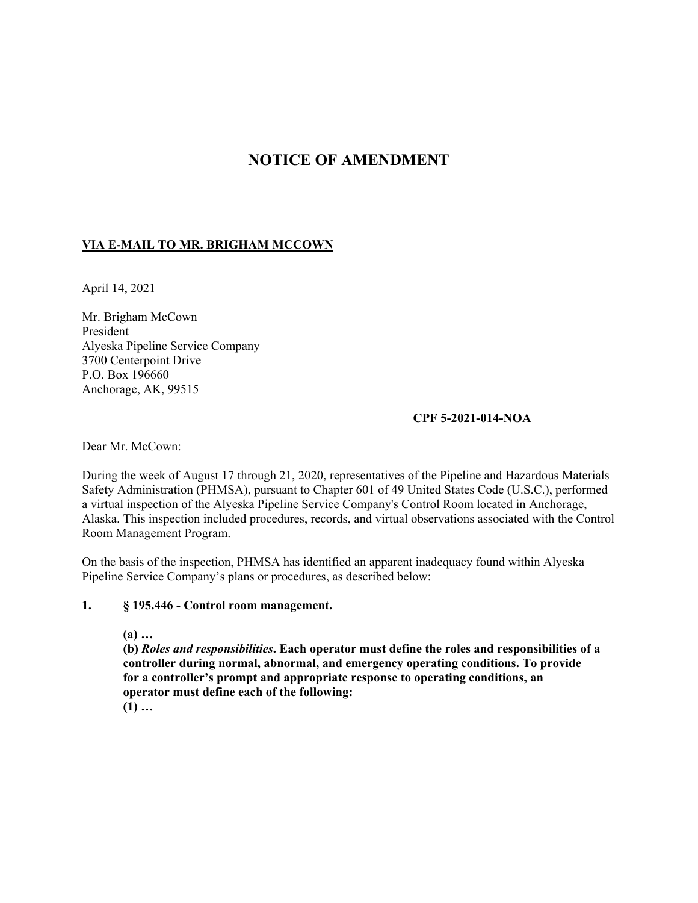# **NOTICE OF AMENDMENT**

## **VIA E-MAIL TO MR. BRIGHAM MCCOWN**

April 14, 2021

Mr. Brigham McCown President Alyeska Pipeline Service Company 3700 Centerpoint Drive P.O. Box 196660 Anchorage, AK, 99515

#### **CPF 5-2021-014-NOA**

Dear Mr. McCown:

During the week of August 17 through 21, 2020, representatives of the Pipeline and Hazardous Materials Safety Administration (PHMSA), pursuant to Chapter 601 of 49 United States Code (U.S.C.), performed a virtual inspection of the Alyeska Pipeline Service Company's Control Room located in Anchorage, Alaska. This inspection included procedures, records, and virtual observations associated with the Control Room Management Program.

On the basis of the inspection, PHMSA has identified an apparent inadequacy found within Alyeska Pipeline Service Company's plans or procedures, as described below:

#### **1. § 195.446 - Control room management.**

 **(a) …** 

**(b)** *Roles and responsibilities***. Each operator must define the roles and responsibilities of a controller during normal, abnormal, and emergency operating conditions. To provide for a controller's prompt and appropriate response to operating conditions, an operator must define each of the following: (1) …**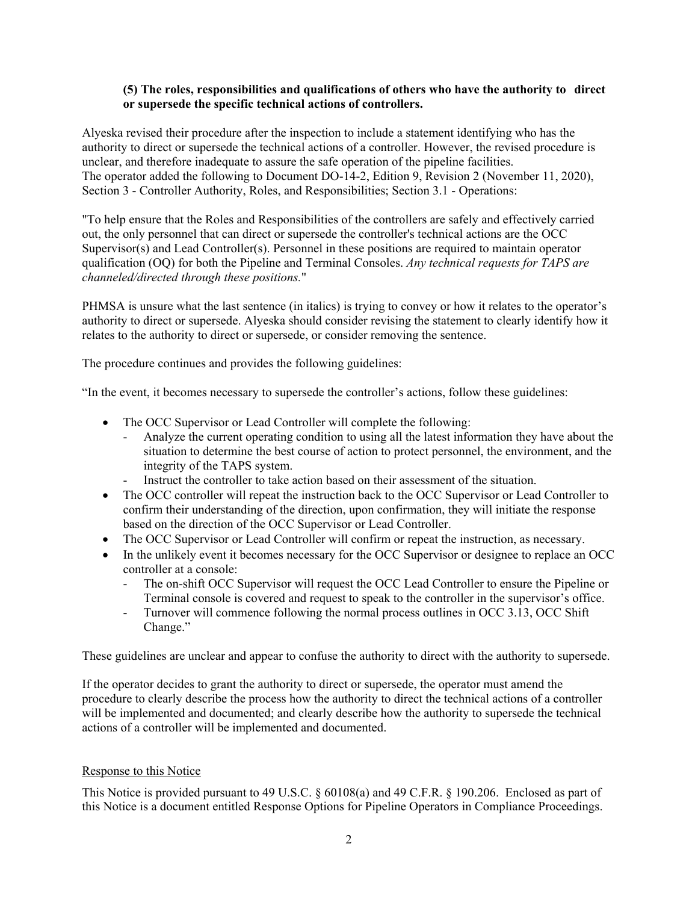## **(5) The roles, responsibilities and qualifications of others who have the authority to direct or supersede the specific technical actions of controllers.**

Alyeska revised their procedure after the inspection to include a statement identifying who has the authority to direct or supersede the technical actions of a controller. However, the revised procedure is unclear, and therefore inadequate to assure the safe operation of the pipeline facilities. The operator added the following to Document DO-14-2, Edition 9, Revision 2 (November 11, 2020), Section 3 - Controller Authority, Roles, and Responsibilities; Section 3.1 - Operations:

"To help ensure that the Roles and Responsibilities of the controllers are safely and effectively carried out, the only personnel that can direct or supersede the controller's technical actions are the OCC Supervisor(s) and Lead Controller(s). Personnel in these positions are required to maintain operator qualification (OQ) for both the Pipeline and Terminal Consoles. *Any technical requests for TAPS are channeled/directed through these positions.*"

PHMSA is unsure what the last sentence (in italics) is trying to convey or how it relates to the operator's authority to direct or supersede. Alyeska should consider revising the statement to clearly identify how it relates to the authority to direct or supersede, or consider removing the sentence.

The procedure continues and provides the following guidelines:

"In the event, it becomes necessary to supersede the controller's actions, follow these guidelines:

- The OCC Supervisor or Lead Controller will complete the following:
	- Analyze the current operating condition to using all the latest information they have about the situation to determine the best course of action to protect personnel, the environment, and the integrity of the TAPS system.
	- Instruct the controller to take action based on their assessment of the situation.
- The OCC controller will repeat the instruction back to the OCC Supervisor or Lead Controller to confirm their understanding of the direction, upon confirmation, they will initiate the response based on the direction of the OCC Supervisor or Lead Controller.
- The OCC Supervisor or Lead Controller will confirm or repeat the instruction, as necessary.
- In the unlikely event it becomes necessary for the OCC Supervisor or designee to replace an OCC controller at a console:
	- The on-shift OCC Supervisor will request the OCC Lead Controller to ensure the Pipeline or Terminal console is covered and request to speak to the controller in the supervisor's office.
	- Turnover will commence following the normal process outlines in OCC 3.13, OCC Shift Change."

These guidelines are unclear and appear to confuse the authority to direct with the authority to supersede.

If the operator decides to grant the authority to direct or supersede, the operator must amend the procedure to clearly describe the process how the authority to direct the technical actions of a controller will be implemented and documented; and clearly describe how the authority to supersede the technical actions of a controller will be implemented and documented.

### Response to this Notice

This Notice is provided pursuant to 49 U.S.C. § 60108(a) and 49 C.F.R. § 190.206. Enclosed as part of this Notice is a document entitled Response Options for Pipeline Operators in Compliance Proceedings.